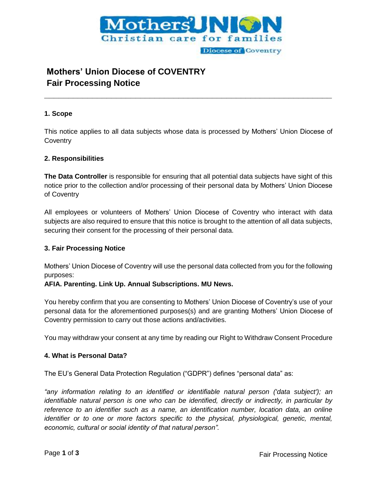

# **Mothers' Union Diocese of COVENTRY Fair Processing Notice**

## **1. Scope**

This notice applies to all data subjects whose data is processed by Mothers' Union Diocese of **Coventry** 

**\_\_\_\_\_\_\_\_\_\_\_\_\_\_\_\_\_\_\_\_\_\_\_\_\_\_\_\_\_\_\_\_\_\_\_\_\_\_\_\_\_\_\_\_\_\_\_\_\_\_\_\_\_\_\_\_\_\_\_\_**

## **2. Responsibilities**

**The Data Controller** is responsible for ensuring that all potential data subjects have sight of this notice prior to the collection and/or processing of their personal data by Mothers' Union Diocese of Coventry

All employees or volunteers of Mothers' Union Diocese of Coventry who interact with data subjects are also required to ensure that this notice is brought to the attention of all data subjects, securing their consent for the processing of their personal data.

#### **3. Fair Processing Notice**

Mothers' Union Diocese of Coventry will use the personal data collected from you for the following purposes:

#### **AFIA. Parenting. Link Up. Annual Subscriptions. MU News.**

You hereby confirm that you are consenting to Mothers' Union Diocese of Coventry's use of your personal data for the aforementioned purposes(s) and are granting Mothers' Union Diocese of Coventry permission to carry out those actions and/activities.

You may withdraw your consent at any time by reading our Right to Withdraw Consent Procedure

#### **4. What is Personal Data?**

The EU's General Data Protection Regulation ("GDPR") defines "personal data" as:

*"any information relating to an identified or identifiable natural person ('data subject'); an identifiable natural person is one who can be identified, directly or indirectly, in particular by reference to an identifier such as a name, an identification number, location data, an online identifier or to one or more factors specific to the physical, physiological, genetic, mental, economic, cultural or social identity of that natural person".*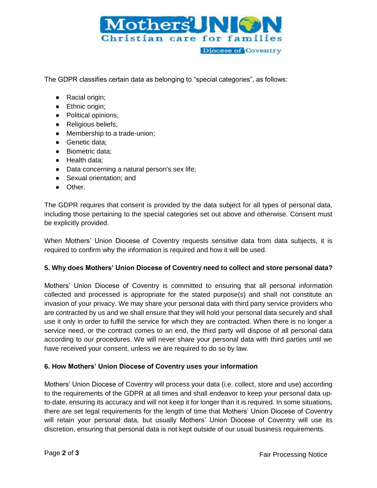

The GDPR classifies certain data as belonging to "special categories", as follows:

- Racial origin;
- Ethnic origin;
- Political opinions;
- Religious beliefs;
- Membership to a trade-union;
- Genetic data;
- Biometric data:
- Health data;
- Data concerning a natural person's sex life;
- Sexual orientation; and
- Other.

The GDPR requires that consent is provided by the data subject for all types of personal data, including those pertaining to the special categories set out above and otherwise. Consent must be explicitly provided.

When Mothers' Union Diocese of Coventry requests sensitive data from data subjects, it is required to confirm why the information is required and how it will be used.

# **5. Why does Mothers' Union Diocese of Coventry need to collect and store personal data?**

Mothers' Union Diocese of Coventry is committed to ensuring that all personal information collected and processed is appropriate for the stated purpose(s) and shall not constitute an invasion of your privacy. We may share your personal data with third party service providers who are contracted by us and we shall ensure that they will hold your personal data securely and shall use it only in order to fulfill the service for which they are contracted. When there is no longer a service need, or the contract comes to an end, the third party will dispose of all personal data according to our procedures. We will never share your personal data with third parties until we have received your consent, unless we are required to do so by law.

# **6. How Mothers' Union Diocese of Coventry uses your information**

Mothers' Union Diocese of Coventry will process your data (i.e. collect, store and use) according to the requirements of the GDPR at all times and shall endeavor to keep your personal data upto-date, ensuring its accuracy and will not keep it for longer than it is required. In some situations, there are set legal requirements for the length of time that Mothers' Union Diocese of Coventry will retain your personal data, but usually Mothers' Union Diocese of Coventry will use its discretion, ensuring that personal data is not kept outside of our usual business requirements.